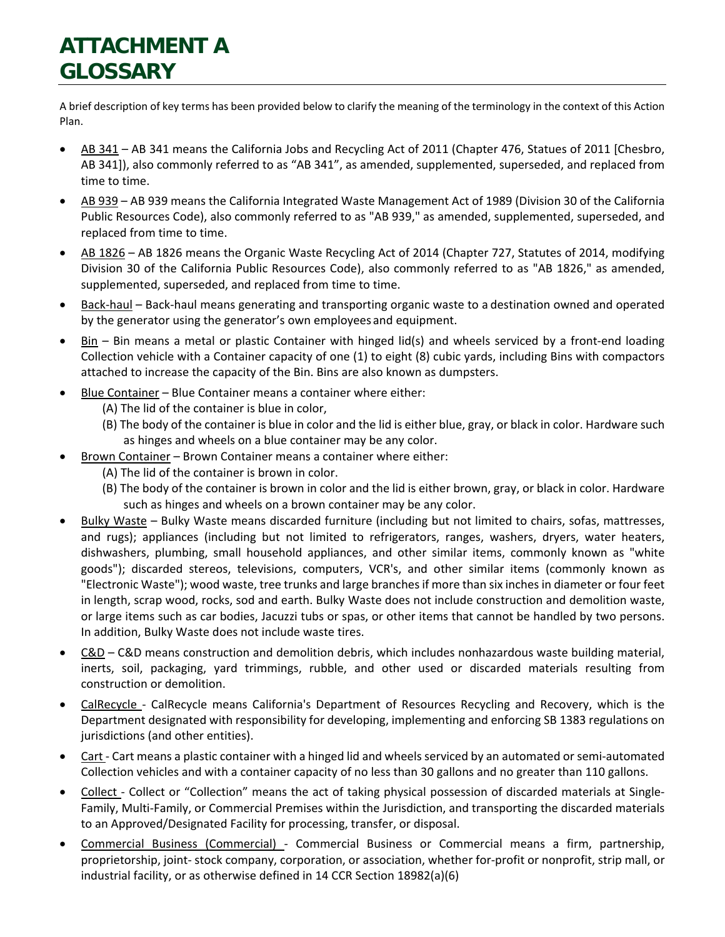## **ATTACHMENT A GLOSSARY**

A brief description of key terms has been provided below to clarify the meaning of the terminology in the context of this Action Plan.

- AB 341 AB 341 means the California Jobs and Recycling Act of 2011 (Chapter 476, Statues of 2011 [Chesbro, AB 341]), also commonly referred to as "AB 341", as amended, supplemented, superseded, and replaced from time to time.
- AB 939 AB 939 means the California Integrated Waste Management Act of 1989 (Division 30 of the California Public Resources Code), also commonly referred to as "AB 939," as amended, supplemented, superseded, and replaced from time to time.
- AB 1826 AB 1826 means the Organic Waste Recycling Act of 2014 (Chapter 727, Statutes of 2014, modifying Division 30 of the California Public Resources Code), also commonly referred to as "AB 1826," as amended, supplemented, superseded, and replaced from time to time.
- Back-haul Back-haul means generating and transporting organic waste to a destination owned and operated by the generator using the generator's own employees and equipment.
- Bin Bin means a metal or plastic Container with hinged lid(s) and wheels serviced by a front-end loading Collection vehicle with a Container capacity of one (1) to eight (8) cubic yards, including Bins with compactors attached to increase the capacity of the Bin. Bins are also known as dumpsters.
- Blue Container Blue Container means a container where either:
	- (A) The lid of the container is blue in color,
	- (B) The body of the container is blue in color and the lid is either blue, gray, or black in color. Hardware such as hinges and wheels on a blue container may be any color.
- Brown Container Brown Container means a container where either:
	- (A) The lid of the container is brown in color.
	- (B) The body of the container is brown in color and the lid is either brown, gray, or black in color. Hardware such as hinges and wheels on a brown container may be any color.
- Bulky Waste Bulky Waste means discarded furniture (including but not limited to chairs, sofas, mattresses, and rugs); appliances (including but not limited to refrigerators, ranges, washers, dryers, water heaters, dishwashers, plumbing, small household appliances, and other similar items, commonly known as "white goods"); discarded stereos, televisions, computers, VCR's, and other similar items (commonly known as "Electronic Waste"); wood waste, tree trunks and large branches if more than six inches in diameter or four feet in length, scrap wood, rocks, sod and earth. Bulky Waste does not include construction and demolition waste, or large items such as car bodies, Jacuzzi tubs or spas, or other items that cannot be handled by two persons. In addition, Bulky Waste does not include waste tires.
- C&D C&D means construction and demolition debris, which includes nonhazardous waste building material, inerts, soil, packaging, yard trimmings, rubble, and other used or discarded materials resulting from construction or demolition.
- CalRecycle CalRecycle means California's Department of Resources Recycling and Recovery, which is the Department designated with responsibility for developing, implementing and enforcing SB 1383 regulations on jurisdictions (and other entities).
- Cart Cart means a plastic container with a hinged lid and wheels serviced by an automated or semi-automated Collection vehicles and with a container capacity of no less than 30 gallons and no greater than 110 gallons.
- Collect Collect or "Collection" means the act of taking physical possession of discarded materials at Single-Family, Multi-Family, or Commercial Premises within the Jurisdiction, and transporting the discarded materials to an Approved/Designated Facility for processing, transfer, or disposal.
- Commercial Business (Commercial) Commercial Business or Commercial means a firm, partnership, proprietorship, joint- stock company, corporation, or association, whether for-profit or nonprofit, strip mall, or industrial facility, or as otherwise defined in 14 CCR Section 18982(a)(6)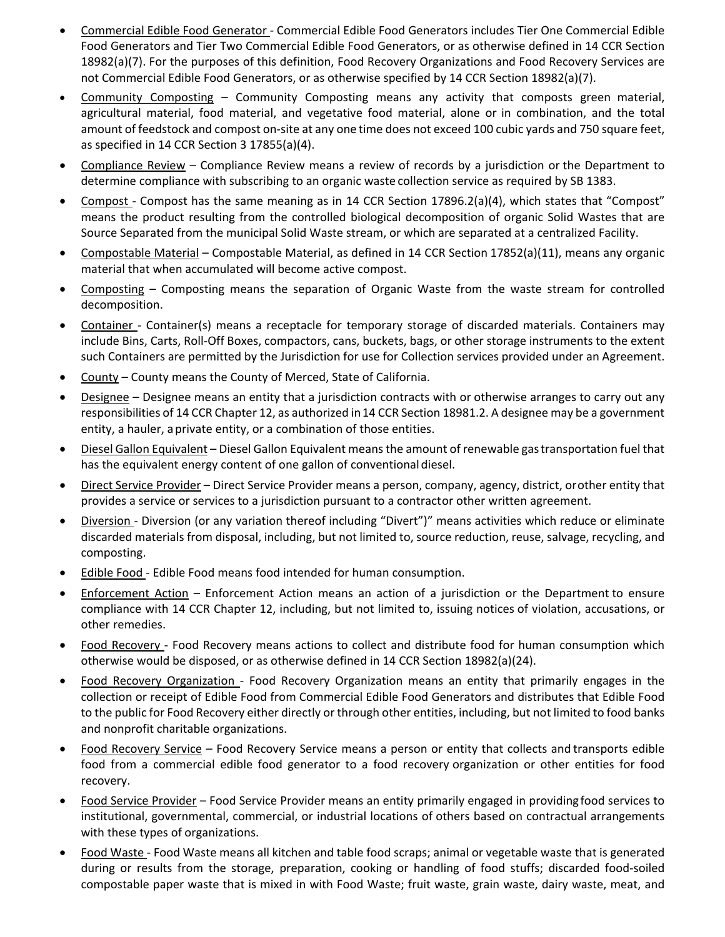- Commercial Edible Food Generator Commercial Edible Food Generators includes Tier One Commercial Edible Food Generators and Tier Two Commercial Edible Food Generators, or as otherwise defined in 14 CCR Section 18982(a)(7). For the purposes of this definition, Food Recovery Organizations and Food Recovery Services are not Commercial Edible Food Generators, or as otherwise specified by 14 CCR Section 18982(a)(7).
- Community Composting Community Composting means any activity that composts green material, agricultural material, food material, and vegetative food material, alone or in combination, and the total amount of feedstock and compost on-site at any one time does not exceed 100 cubic yards and 750 square feet, as specified in 14 CCR Section 3 17855(a)(4).
- Compliance Review Compliance Review means a review of records by a jurisdiction or the Department to determine compliance with subscribing to an organic waste collection service as required by SB 1383.
- Compost Compost has the same meaning as in 14 CCR Section 17896.2(a)(4), which states that "Compost" means the product resulting from the controlled biological decomposition of organic Solid Wastes that are Source Separated from the municipal Solid Waste stream, or which are separated at a centralized Facility.
- Compostable Material Compostable Material, as defined in 14 CCR Section 17852(a)(11), means any organic material that when accumulated will become active compost.
- Composting Composting means the separation of Organic Waste from the waste stream for controlled decomposition.
- Container Container(s) means a receptacle for temporary storage of discarded materials. Containers may include Bins, Carts, Roll-Off Boxes, compactors, cans, buckets, bags, or other storage instruments to the extent such Containers are permitted by the Jurisdiction for use for Collection services provided under an Agreement.
- County County means the County of Merced, State of California.
- Designee Designee means an entity that a jurisdiction contracts with or otherwise arranges to carry out any responsibilities of 14 CCR Chapter 12, as authorized in14 CCR Section 18981.2. A designee may be a government entity, a hauler, aprivate entity, or a combination of those entities.
- Diesel Gallon Equivalent Diesel Gallon Equivalent means the amount of renewable gastransportation fuel that has the equivalent energy content of one gallon of conventionaldiesel.
- Direct Service Provider Direct Service Provider means a person, company, agency, district, orother entity that provides a service or services to a jurisdiction pursuant to a contractor other written agreement.
- Diversion Diversion (or any variation thereof including "Divert")" means activities which reduce or eliminate discarded materials from disposal, including, but not limited to, source reduction, reuse, salvage, recycling, and composting.
- Edible Food Edible Food means food intended for human consumption.
- Enforcement Action Enforcement Action means an action of a jurisdiction or the Department to ensure compliance with 14 CCR Chapter 12, including, but not limited to, issuing notices of violation, accusations, or other remedies.
- Food Recovery Food Recovery means actions to collect and distribute food for human consumption which otherwise would be disposed, or as otherwise defined in 14 CCR Section 18982(a)(24).
- Food Recovery Organization Food Recovery Organization means an entity that primarily engages in the collection or receipt of Edible Food from Commercial Edible Food Generators and distributes that Edible Food to the public for Food Recovery either directly or through other entities, including, but not limited to food banks and nonprofit charitable organizations.
- Food Recovery Service Food Recovery Service means a person or entity that collects and transports edible food from a commercial edible food generator to a food recovery organization or other entities for food recovery.
- Food Service Provider Food Service Provider means an entity primarily engaged in providingfood services to institutional, governmental, commercial, or industrial locations of others based on contractual arrangements with these types of organizations.
- Food Waste Food Waste means all kitchen and table food scraps; animal or vegetable waste that is generated during or results from the storage, preparation, cooking or handling of food stuffs; discarded food-soiled compostable paper waste that is mixed in with Food Waste; fruit waste, grain waste, dairy waste, meat, and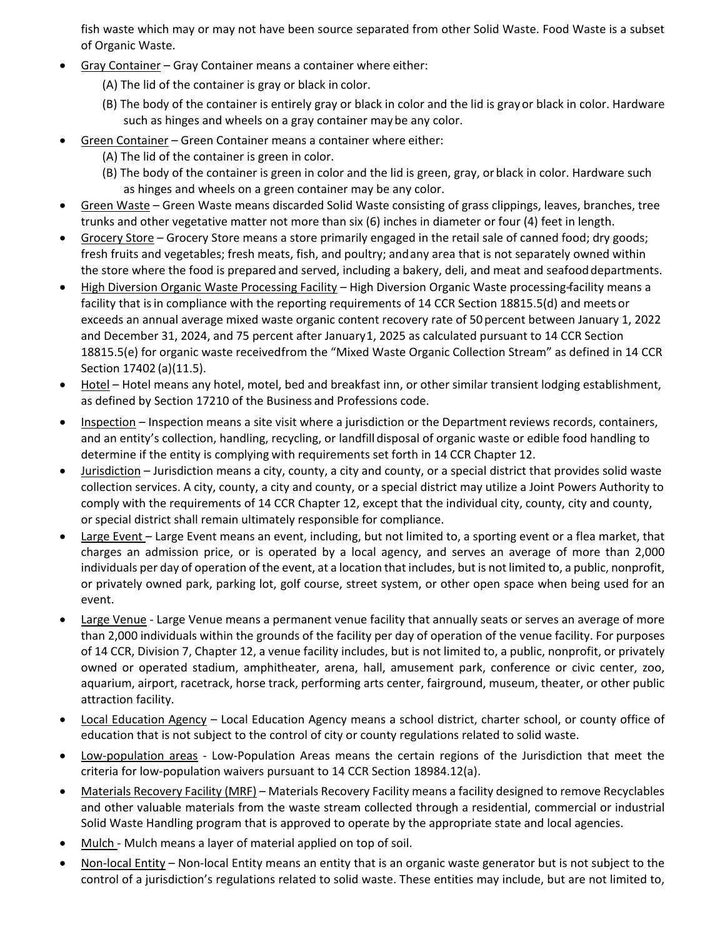fish waste which may or may not have been source separated from other Solid Waste. Food Waste is a subset of Organic Waste.

- Gray Container Gray Container means a container where either:
	- (A) The lid of the container is gray or black in color.
	- (B) The body of the container is entirely gray or black in color and the lid is gray or black in color. Hardware such as hinges and wheels on a gray container maybe any color.
- Green Container Green Container means a container where either:
	- (A) The lid of the container is green in color.
	- (B) The body of the container is green in color and the lid is green, gray, orblack in color. Hardware such as hinges and wheels on a green container may be any color.
- Green Waste Green Waste means discarded Solid Waste consisting of grass clippings, leaves, branches, tree trunks and other vegetative matter not more than six (6) inches in diameter or four (4) feet in length.
- Grocery Store Grocery Store means a store primarily engaged in the retail sale of canned food; dry goods; fresh fruits and vegetables; fresh meats, fish, and poultry; andany area that is not separately owned within the store where the food is prepared and served, including a bakery, deli, and meat and seafood departments.
- High Diversion Organic Waste Processing Facility High Diversion Organic Waste processing facility means a facility that isin compliance with the reporting requirements of 14 CCR Section 18815.5(d) and meets or exceeds an annual average mixed waste organic content recovery rate of 50percent between January 1, 2022 and December 31, 2024, and 75 percent after January 1, 2025 as calculated pursuant to 14 CCR Section 18815.5(e) for organic waste receivedfrom the "Mixed Waste Organic Collection Stream" as defined in 14 CCR Section 17402 (a)(11.5).
- Hotel Hotel means any hotel, motel, bed and breakfast inn, or other similar transient lodging establishment, as defined by Section 17210 of the Business and Professions code.
- Inspection Inspection means a site visit where a jurisdiction or the Department reviews records, containers, and an entity's collection, handling, recycling, or landfill disposal of organic waste or edible food handling to determine if the entity is complying with requirements set forth in 14 CCR Chapter 12.
- Jurisdiction Jurisdiction means a city, county, a city and county, or a special district that provides solid waste collection services. A city, county, a city and county, or a special district may utilize a Joint Powers Authority to comply with the requirements of 14 CCR Chapter 12, except that the individual city, county, city and county, or special district shall remain ultimately responsible for compliance.
- Large Event Large Event means an event, including, but not limited to, a sporting event or a flea market, that charges an admission price, or is operated by a local agency, and serves an average of more than 2,000 individuals per day of operation of the event, at a location that includes, but is not limited to, a public, nonprofit, or privately owned park, parking lot, golf course, street system, or other open space when being used for an event.
- Large Venue Large Venue means a permanent venue facility that annually seats or serves an average of more than 2,000 individuals within the grounds of the facility per day of operation of the venue facility. For purposes of 14 CCR, Division 7, Chapter 12, a venue facility includes, but is not limited to, a public, nonprofit, or privately owned or operated stadium, amphitheater, arena, hall, amusement park, conference or civic center, zoo, aquarium, airport, racetrack, horse track, performing arts center, fairground, museum, theater, or other public attraction facility.
- Local Education Agency Local Education Agency means a school district, charter school, or county office of education that is not subject to the control of city or county regulations related to solid waste.
- Low-population areas Low-Population Areas means the certain regions of the Jurisdiction that meet the criteria for low-population waivers pursuant to 14 CCR Section 18984.12(a).
- Materials Recovery Facility (MRF) Materials Recovery Facility means a facility designed to remove Recyclables and other valuable materials from the waste stream collected through a residential, commercial or industrial Solid Waste Handling program that is approved to operate by the appropriate state and local agencies.
- Mulch Mulch means a layer of material applied on top of soil.
- Non-local Entity Non-local Entity means an entity that is an organic waste generator but is not subject to the control of a jurisdiction's regulations related to solid waste. These entities may include, but are not limited to,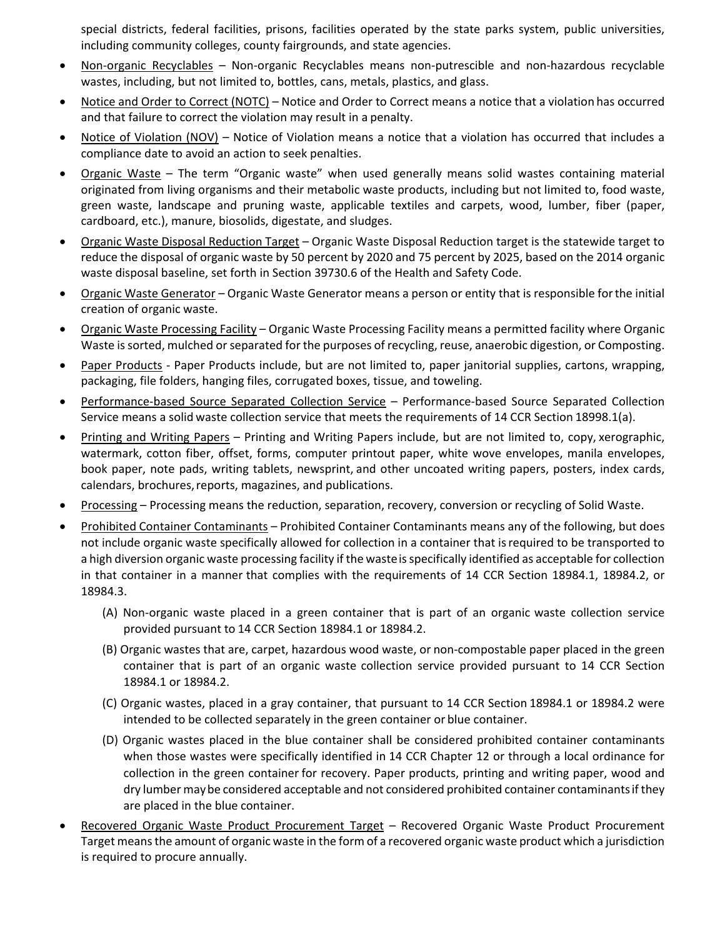special districts, federal facilities, prisons, facilities operated by the state parks system, public universities, including community colleges, county fairgrounds, and state agencies.

- Non-organic Recyclables Non-organic Recyclables means non-putrescible and non-hazardous recyclable wastes, including, but not limited to, bottles, cans, metals, plastics, and glass.
- Notice and Order to Correct (NOTC) Notice and Order to Correct means a notice that a violation has occurred and that failure to correct the violation may result in a penalty.
- Notice of Violation (NOV) Notice of Violation means a notice that a violation has occurred that includes a compliance date to avoid an action to seek penalties.
- Organic Waste The term "Organic waste" when used generally means solid wastes containing material originated from living organisms and their metabolic waste products, including but not limited to, food waste, green waste, landscape and pruning waste, applicable textiles and carpets, wood, lumber, fiber (paper, cardboard, etc.), manure, biosolids, digestate, and sludges.
- Organic Waste Disposal Reduction Target Organic Waste Disposal Reduction target is the statewide target to reduce the disposal of organic waste by 50 percent by 2020 and 75 percent by 2025, based on the 2014 organic waste disposal baseline, set forth in Section 39730.6 of the Health and Safety Code.
- Organic Waste Generator Organic Waste Generator means a person or entity that is responsible forthe initial creation of organic waste.
- Organic Waste Processing Facility Organic Waste Processing Facility means a permitted facility where Organic Waste is sorted, mulched or separated for the purposes of recycling, reuse, anaerobic digestion, or Composting.
- Paper Products Paper Products include, but are not limited to, paper janitorial supplies, cartons, wrapping, packaging, file folders, hanging files, corrugated boxes, tissue, and toweling.
- Performance-based Source Separated Collection Service Performance-based Source Separated Collection Service means a solid waste collection service that meets the requirements of 14 CCR Section 18998.1(a).
- Printing and Writing Papers Printing and Writing Papers include, but are not limited to, copy, xerographic, watermark, cotton fiber, offset, forms, computer printout paper, white wove envelopes, manila envelopes, book paper, note pads, writing tablets, newsprint, and other uncoated writing papers, posters, index cards, calendars, brochures, reports, magazines, and publications.
- Processing Processing means the reduction, separation, recovery, conversion or recycling of Solid Waste.
- Prohibited Container Contaminants Prohibited Container Contaminants means any of the following, but does not include organic waste specifically allowed for collection in a container that isrequired to be transported to a high diversion organic waste processing facility if the wasteis specifically identified as acceptable for collection in that container in a manner that complies with the requirements of 14 CCR Section 18984.1, 18984.2, or 18984.3.
	- (A) Non-organic waste placed in a green container that is part of an organic waste collection service provided pursuant to 14 CCR Section 18984.1 or 18984.2.
	- (B) Organic wastes that are, carpet, hazardous wood waste, or non-compostable paper placed in the green container that is part of an organic waste collection service provided pursuant to 14 CCR Section 18984.1 or 18984.2.
	- (C) Organic wastes, placed in a gray container, that pursuant to 14 CCR Section 18984.1 or 18984.2 were intended to be collected separately in the green container or blue container.
	- (D) Organic wastes placed in the blue container shall be considered prohibited container contaminants when those wastes were specifically identified in 14 CCR Chapter 12 or through a local ordinance for collection in the green container for recovery. Paper products, printing and writing paper, wood and dry lumber maybe considered acceptable and not considered prohibited container contaminantsif they are placed in the blue container.
- Recovered Organic Waste Product Procurement Target Recovered Organic Waste Product Procurement Target means the amount of organic waste in the form of a recovered organic waste product which a jurisdiction is required to procure annually.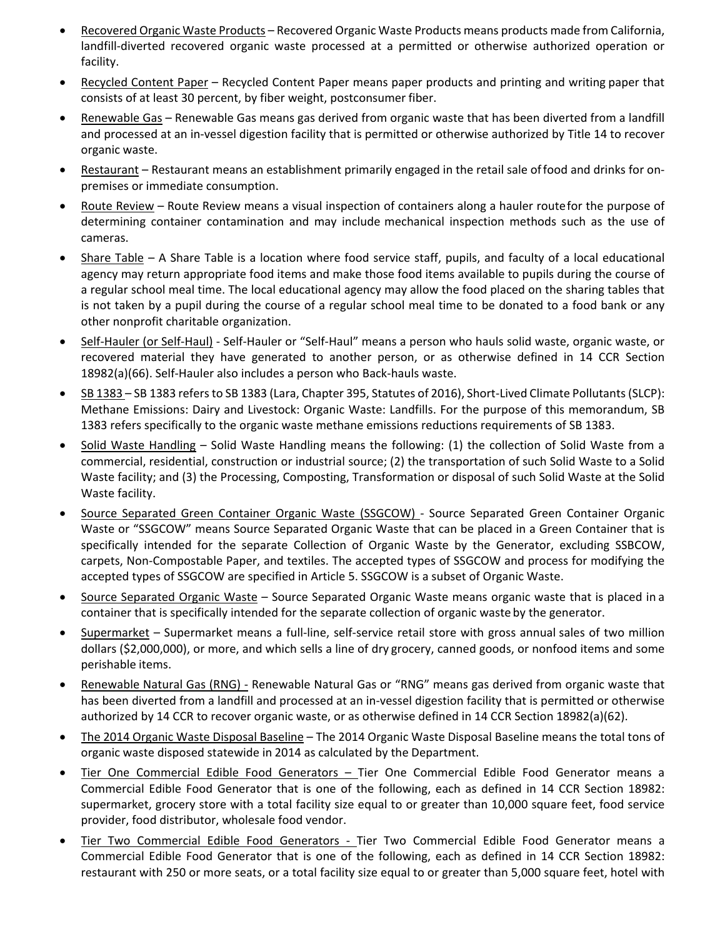- Recovered Organic Waste Products Recovered Organic Waste Products means products made from California, landfill-diverted recovered organic waste processed at a permitted or otherwise authorized operation or facility.
- Recycled Content Paper Recycled Content Paper means paper products and printing and writing paper that consists of at least 30 percent, by fiber weight, postconsumer fiber.
- Renewable Gas Renewable Gas means gas derived from organic waste that has been diverted from a landfill and processed at an in-vessel digestion facility that is permitted or otherwise authorized by Title 14 to recover organic waste.
- Restaurant Restaurant means an establishment primarily engaged in the retail sale offood and drinks for onpremises or immediate consumption.
- Route Review Route Review means a visual inspection of containers along a hauler routefor the purpose of determining container contamination and may include mechanical inspection methods such as the use of cameras.
- Share Table A Share Table is a location where food service staff, pupils, and faculty of a local educational agency may return appropriate food items and make those food items available to pupils during the course of a regular school meal time. The local educational agency may allow the food placed on the sharing tables that is not taken by a pupil during the course of a regular school meal time to be donated to a food bank or any other nonprofit charitable organization.
- Self-Hauler (or Self-Haul) Self-Hauler or "Self-Haul" means a person who hauls solid waste, organic waste, or recovered material they have generated to another person, or as otherwise defined in 14 CCR Section 18982(a)(66). Self-Hauler also includes a person who Back-hauls waste.
- SB 1383 SB 1383 refers to SB 1383 (Lara, Chapter 395, Statutes of 2016), Short-Lived Climate Pollutants (SLCP): Methane Emissions: Dairy and Livestock: Organic Waste: Landfills. For the purpose of this memorandum, SB 1383 refers specifically to the organic waste methane emissions reductions requirements of SB 1383.
- Solid Waste Handling Solid Waste Handling means the following: (1) the collection of Solid Waste from a commercial, residential, construction or industrial source; (2) the transportation of such Solid Waste to a Solid Waste facility; and (3) the Processing, Composting, Transformation or disposal of such Solid Waste at the Solid Waste facility.
- Source Separated Green Container Organic Waste (SSGCOW) Source Separated Green Container Organic Waste or "SSGCOW" means Source Separated Organic Waste that can be placed in a Green Container that is specifically intended for the separate Collection of Organic Waste by the Generator, excluding SSBCOW, carpets, Non-Compostable Paper, and textiles. The accepted types of SSGCOW and process for modifying the accepted types of SSGCOW are specified in Article 5. SSGCOW is a subset of Organic Waste.
- Source Separated Organic Waste Source Separated Organic Waste means organic waste that is placed in a container that is specifically intended for the separate collection of organic waste by the generator.
- Supermarket Supermarket means a full-line, self-service retail store with gross annual sales of two million dollars (\$2,000,000), or more, and which sells a line of dry grocery, canned goods, or nonfood items and some perishable items.
- Renewable Natural Gas (RNG) Renewable Natural Gas or "RNG" means gas derived from organic waste that has been diverted from a landfill and processed at an in-vessel digestion facility that is permitted or otherwise authorized by 14 CCR to recover organic waste, or as otherwise defined in 14 CCR Section 18982(a)(62).
- The 2014 Organic Waste Disposal Baseline The 2014 Organic Waste Disposal Baseline means the total tons of organic waste disposed statewide in 2014 as calculated by the Department.
- Tier One Commercial Edible Food Generators Tier One Commercial Edible Food Generator means a Commercial Edible Food Generator that is one of the following, each as defined in 14 CCR Section 18982: supermarket, grocery store with a total facility size equal to or greater than 10,000 square feet, food service provider, food distributor, wholesale food vendor.
- Tier Two Commercial Edible Food Generators Tier Two Commercial Edible Food Generator means a Commercial Edible Food Generator that is one of the following, each as defined in 14 CCR Section 18982: restaurant with 250 or more seats, or a total facility size equal to or greater than 5,000 square feet, hotel with